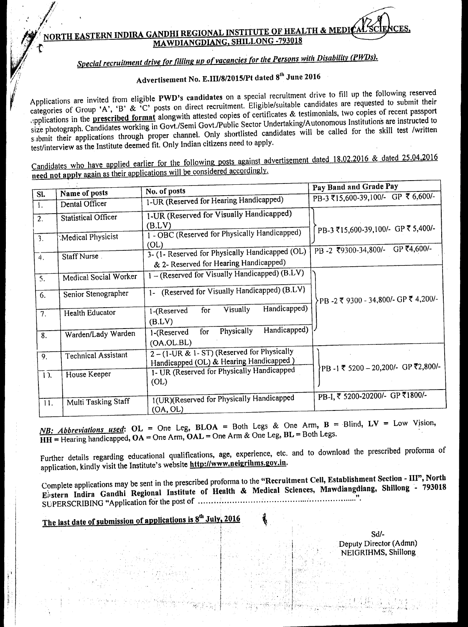## **NORTH EASTERN INDIRA GANDHI REGIONAL INSTITUTE OF HEALTH & MEDI WD MAIANGDIANG, SHILLONG -793018**

# *Special recruitment drive for filling up of vacancies for the Persons with Disability (PWDs).*

# Advertisement No. E.III/8/2015/Pt dated 8th June 2016

Applications are invited from eligible PWD's candidates on a special recruitment drive to fill up the following reserved categories of Group 'A', 'B' & 'C' posts on direct recruitment. Eligible/suitable candidates are requested to submit their opplications in the prescribed format alongwith attested copies of certificates & testimonials, two copies of recent passport size photograph. Candidates working in Govt./Semi Govt./Public Sector Undertaking/Autonomous Institutions are instructed to submit their applications through proper channel. Only shortlisted candidates will be called for the skill test /written test/interview as the Institute deemed fit. Only Indian citizens need to apply.

Candidates who have applied earlier for the following posts against advertisement dated 18.02.2016 & dated 25.04.2016 **need not apply** again as their applications will be considered accordingly.

|                  |                            |                                                                                      | Pay Band and Grade Pay                |
|------------------|----------------------------|--------------------------------------------------------------------------------------|---------------------------------------|
| SI.              | Name of posts              | No. of posts                                                                         | PB-3 ₹15,600-39,100/- GP ₹ 6,600/-    |
| $\mathbf{I}$ .   | Dental Officer             | 1-UR (Reserved for Hearing Handicapped)                                              |                                       |
| $\overline{2}$ . | <b>Statistical Officer</b> | 1-UR (Reserved for Visually Handicapped)                                             |                                       |
|                  |                            | (B.LV)                                                                               | PB-3 ₹15,600-39,100/- GP ₹ 5,400/-    |
| $\cdot$ 3.       | Medical Physicist          | 1 - OBC (Reserved for Physically Handicapped)<br>(OL)                                |                                       |
| $\overline{4}$ . | Staff Nurse.               | 3- (1- Reserved for Physically Handicapped (OL)                                      | GP ₹4,600/-<br>PB-2 ₹9300-34,800/-    |
|                  |                            | & 2- Reserved for Hearing Handicapped)                                               |                                       |
| 5.               | Medical Social Worker      | 1 - (Reserved for Visually Handicapped) (B.LV)                                       |                                       |
| 6.               | Senior Stenographer        | 1- (Reserved for Visually Handicapped) (B.LV)                                        | ├PB -2 ₹ 9300 - 34,800/- GP ₹ 4,200/- |
| 7.               | Health Educator            | Handicapped)<br>Visually<br>for<br>1-(Reserved<br>(B.LV)                             |                                       |
| 8.               | Warden/Lady Warden         | Handicapped)<br>Physically<br>for<br>1-(Reserved<br>(OA.OL.BL)                       |                                       |
| 9.               | <b>Technical Assistant</b> | 2-(1-UR & 1- ST) (Reserved for Physically<br>Handicapped (OL) & Hearing Handicapped) |                                       |
| $12$ .           | House Keeper               | 1- UR (Reserved for Physically Handicapped<br>(OL)                                   | }PB -1 ₹ 5200 - 20,200/- GP ₹2,800/-  |
| 11.              | Multi Tasking Staff        | 1(UR)(Reserved for Physically Handicapped<br>(OA, OL)                                | PB-I, ₹ 5200-20200/- GP ₹1800/-       |

*NB: Abbreviations used:* **OL =** One Leg, **BLOA =** Both Legs & One Arm, **B =** Blind, LV = Low Vision, **HH =** Hearing handicapped, **OA =** One Arm, **OAL =** One Arm & One Leg, **BL =** Both Legs.

Further details regarding educational qualifications, age, experience, etc. and to download the prescribed proforma of application, kindly visit the Institute's website http://www.neigrihms.gov.in.

Complete applications may be sent in the prescribed proforma to the **"Recruitment Cell, Establishment Section - III", North Efstern Indira Gandhi Regional Institute of Health & Medical Sciences, Mawdiangdiang, Shillong - 793018 11**  SUPERSCRIBING "Application for the post of

# **The last date of submission of applications is 8 th July, 2016**

Sd/- Deputy Director (Admn) NEIGRIHMS, Shillong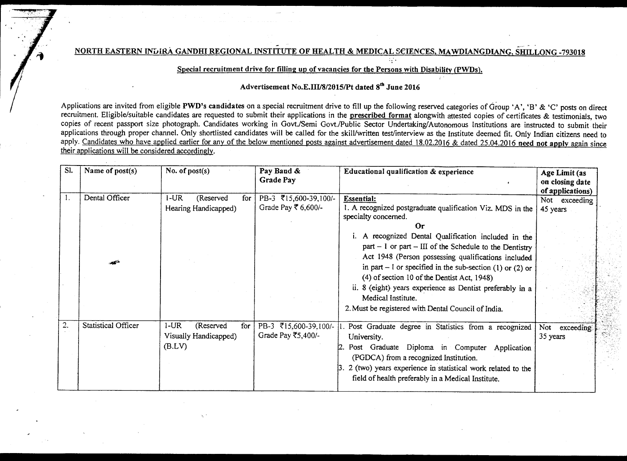**NORTH EASTERN INDIRA GANDHI REGIONAL INSTITUTE OF HEALTH & MEDICAL SCIENCES, MAWDIANGDIANG, SIlrL LONG** -793018

### Special recruitment drive **for filling up of vacancies for the Persons with Disability (PWDs).**

## **Advertisement No.E.III/8/2015/Pt dated 8 th June 2016**

Applications are invited from **eligible PWD's** candidates on a special recruitment drive to fill up the following reserved categories of Group 'A', 'B' & 'C' posts on direct recruitment. Eligible/suitable candidates are requested to submit their applications in **the prescribed format alongwith attested copies of certificates & testimonials, two copies of recent passport size photograph. Candidates working** in Govt./Semi Govt./Public Sector Undertaking/Autonomous Institutions are instructed to submit their applications through proper channel. Only shortlisted candidates will be called for the skill/written test/interview as the Institute deemed fit. Only Indian citizens need to apply. **Candidates who** have applied earlier for any of the below mentioned posts against advertisement dated 18.02.2016 & dated 25.04.2016 **need not apply again since their applications will be considered accordingly.** 

| SI. | Name of post(s)            | No. of $post(s)$                                               | Pay Band &<br><b>Grade Pay</b>                              | Educational qualification & experience                                                                                                                                                                                                                                                                                                                                                                                                                                                                                                           | Age Limit (as<br>on closing date<br>of applications) |
|-----|----------------------------|----------------------------------------------------------------|-------------------------------------------------------------|--------------------------------------------------------------------------------------------------------------------------------------------------------------------------------------------------------------------------------------------------------------------------------------------------------------------------------------------------------------------------------------------------------------------------------------------------------------------------------------------------------------------------------------------------|------------------------------------------------------|
|     | Dental Officer<br>المتحصر  | 1-UR<br>(Reserved<br>for<br>Hearing Handicapped)               | PB-3 ₹15,600-39,100/-<br>Grade Pay $\overline{\xi}$ 6,600/- | <b>Essential:</b><br>1. A recognized postgraduate qualification Viz. MDS in the<br>specialty concerned.<br>Or<br>i. A recognized Dental Qualification included in the<br>$part - 1$ or part - III of the Schedule to the Dentistry<br>Act 1948 (Person possessing qualifications included<br>in part – I or specified in the sub-section (1) or (2) or<br>(4) of section 10 of the Dentist Act, 1948).<br>ii. 8 (eight) years experience as Dentist preferably in a<br>Medical Institute.<br>2. Must be registered with Dental Council of India. | Not exceeding<br>45 years                            |
| 2.  | <b>Statistical Officer</b> | $1$ -UR<br>(Reserved<br>for<br>Visually Handicapped)<br>(B.LV) | PB-3 ₹15,600-39,100/-<br>Grade Pay ₹5,400/-                 | Post Graduate degree in Statistics from a recognized<br>University.<br>Post Graduate Diploma in Computer Application<br>(PGDCA) from a recognized Institution.<br>$3.2$ (two) years experience in statistical work related to the<br>field of health preferably in a Medical Institute.                                                                                                                                                                                                                                                          | exceeding<br>Not<br>35 years                         |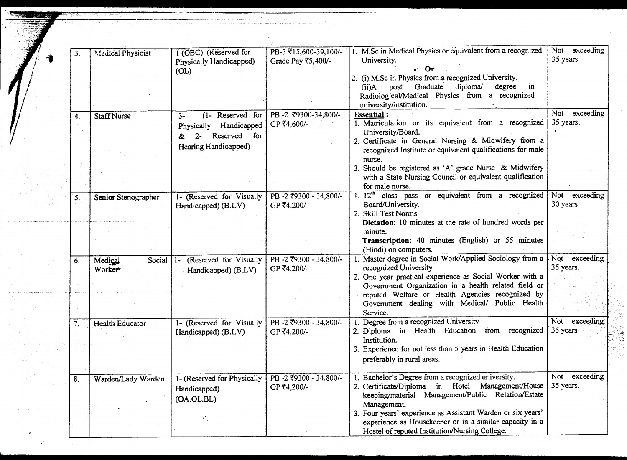|    |                                    | 1 (OBC) (Reserved for                                                          | PB-3 ₹15,600-39,100/-                | 1. M.Sc in Medical Physics or equivalent from a recognized                                                                                                                                                                  | Not exceeding              |
|----|------------------------------------|--------------------------------------------------------------------------------|--------------------------------------|-----------------------------------------------------------------------------------------------------------------------------------------------------------------------------------------------------------------------------|----------------------------|
| 3. | <b>Medical Physicist</b>           | Physically Handicapped)<br>(OL)                                                | Grade Pay ₹5,400/-                   | University.<br>- Or<br>2. (i) M.Sc in Physics from a recognized University.                                                                                                                                                 | 35 years                   |
|    |                                    |                                                                                |                                      | post Graduate diploma/<br>degree in<br>$(ii)$ A<br>Radiological/Medical Physics from a recognized<br>university/institution.                                                                                                |                            |
| 4. | <b>Staff Nurse</b>                 | Reserved for<br>$3-$<br>$(1 -$<br>Handicapped<br>Physically<br>Reserved<br>for | PB-2 ₹9300-34,800/-<br>GP ₹4,600/-   | <b>Essential:</b><br>1. Matriculation or its equivalent from a recognized<br>University/Board.                                                                                                                              | Not exceeding<br>35 years. |
|    |                                    | Hearing Handicapped)                                                           |                                      | 2. Certificate in General Nursing & Midwifery from a<br>recognized Institute or equivalent qualifications for male<br>nurse.                                                                                                |                            |
|    |                                    |                                                                                |                                      | 3. Should be registered as 'A' grade Nurse & Midwifery<br>with a State Nursing Council or equivalent qualification<br>for male nurse.                                                                                       |                            |
| 5. | Senior Stenographer                | 1- (Reserved for Visually<br>Handicapped) (B.LV)                               | PB-2 ₹9300 - 34,800/-<br>GP ₹4,200/- | 1. $12th$ class pass or equivalent from a recognized<br>Board/University.<br>2. Skill Test Norms                                                                                                                            | Not exceeding<br>30 years  |
|    |                                    |                                                                                |                                      | Dictation: 10 minutes at the rate of hundred words per<br>minute.<br>Transcription: 40 minutes (English) or 55 minutes                                                                                                      |                            |
| 6. | Social<br>Medical<br><b>Worker</b> | (Reserved for Visually<br>$1-$<br>Handicapped) (B.LV)                          | PB-2 ₹9300 - 34,800/-<br>GP ₹4,200/- | (Hindi) on computers.<br>Master degree in Social Work/Applied Sociology from a<br>recognized University<br>2. One year practical experience as Social Worker with a<br>Government Organization in a health related field or | Not exceeding<br>35 years. |
|    |                                    |                                                                                |                                      | reputed Welfare or Health Agencies recognized by<br>Government dealing with Medical/ Public Health<br>Service.                                                                                                              |                            |
| 7. | <b>Health Educator</b>             | 1- (Reserved for Visually<br>Handicapped) (B.LV)                               | PB-2 ₹9300 - 34.800/-<br>GP ₹4,200/- | Degree from a recognized University<br>2. Diploma in Health Education from recognized<br>Institution.                                                                                                                       | Not exceeding<br>35 years  |
|    |                                    |                                                                                |                                      | 3. Experience for not less than 5 years in Health Education<br>preferably in rural areas.                                                                                                                                   |                            |
| 8. | Warden/Lady Warden                 | 1- (Reserved for Physically<br>Handicapped)<br>(OA.OL.BL)                      | PB-2 ₹9300 - 34,800/-<br>GP ₹4,200/- | Bachelor's Degree from a recognized university.<br>in Hotel Management/House<br>2. Certificate/Diploma<br>keeping/material Management/Public Relation/Estate<br>Management.                                                 | Not exceeding<br>35 years. |
|    |                                    |                                                                                |                                      | 3. Four years' experience as Assistant Warden or six years'<br>experience as Housekeeper or in a similar capacity in a<br>Hostel of reputed Institution/Nursing College.                                                    |                            |

 $\mathcal{L}_{\text{max}}$  and  $\mathcal{L}_{\text{max}}$ 

المدادة والمنافس والمتمدد وسالا الشاوات المتحاف المستحداث المتحدة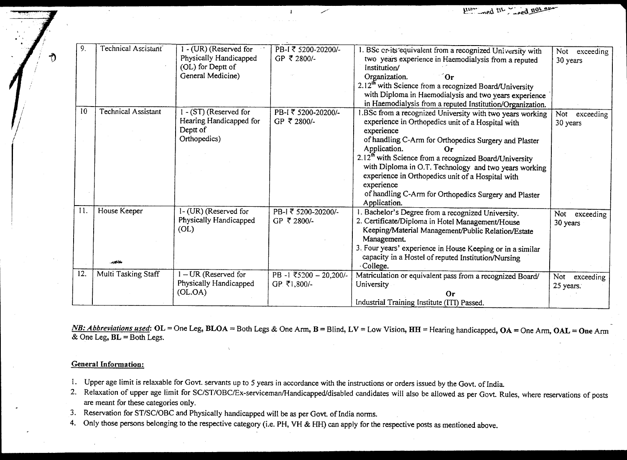| 9.  | Technical Assistant        | 1 - (UR) (Reserved for  | PB-I ₹ 5200-20200/-   | BSc cr-its equivalent from a recognized University with              |                  |
|-----|----------------------------|-------------------------|-----------------------|----------------------------------------------------------------------|------------------|
|     |                            | Physically Handicapped  | GP ₹ 2800/-           |                                                                      | exceeding<br>Not |
|     |                            | (OL) for Deptt of       |                       | two years experience in Haemodialysis from a reputed<br>Institution/ | 30 years         |
|     |                            | General Medicine)       |                       |                                                                      |                  |
|     |                            |                         |                       | Organization.<br>Or                                                  |                  |
|     |                            |                         |                       | 2.12 <sup>th</sup> with Science from a recognized Board/University   |                  |
|     |                            |                         |                       | with Diploma in Haemodialysis and two years experience               |                  |
|     |                            |                         |                       | in Haemodialysis from a reputed Institution/Organization.            |                  |
| 10  | <b>Technical Assistant</b> | I - (ST) (Reserved for  | PB-I ₹ 5200-20200/-   | .BSc from a recognized University with two years working             | Not<br>exceeding |
|     |                            | Hearing Handicapped for | GP ₹ 2800/-           | experience in Orthopedics unit of a Hospital with                    | 30 years         |
|     |                            | Deptt of                |                       | experience                                                           |                  |
|     |                            | Orthopedics)            |                       | of handling C-Arm for Orthopedics Surgery and Plaster                |                  |
|     |                            |                         |                       | Application.<br>0r                                                   |                  |
|     |                            |                         |                       | 2.12 <sup>th</sup> with Science from a recognized Board/University   |                  |
|     |                            |                         |                       | with Diploma in O.T. Technology and two years working                |                  |
|     |                            |                         |                       | experience in Orthopedics unit of a Hospital with                    |                  |
|     |                            |                         |                       | experience                                                           |                  |
|     |                            |                         |                       |                                                                      |                  |
|     |                            |                         |                       | of handling C-Arm for Orthopedics Surgery and Plaster                |                  |
| 11. |                            |                         |                       | Application.                                                         |                  |
|     | House Keeper               | 1- (UR) (Reserved for   | PB-I ₹ 5200-20200/-   | Bachelor's Degree from a recognized University.                      | Not exceeding    |
|     |                            | Physically Handicapped  | GP ₹ 2800/-           | 2. Certificate/Diploma in Hotel Management/House                     | 30 years         |
|     |                            | (OL)                    |                       | Keeping/Material Management/Public Relation/Estate                   |                  |
|     |                            |                         |                       | Management.                                                          |                  |
|     |                            |                         |                       | 3. Four years' experience in House Keeping or in a similar           |                  |
|     |                            |                         |                       | capacity in a Hostel of reputed Institution/Nursing                  |                  |
|     | مينتور                     |                         |                       | College.                                                             |                  |
| 12. | Multi Tasking Staff        | $I - UR$ (Reserved for  | PB-1 ₹5200 - 20,200/- | Matriculation or equivalent pass from a recognized Board/            | Not<br>exceeding |
|     |                            | Physically Handicapped  | GP ₹1,800/-           | University                                                           | 25 years.        |
|     |                            |                         |                       |                                                                      |                  |
|     |                            | (OL.OA)                 |                       | Or                                                                   |                  |

*NB: Abbreviations used:* **OL =** One Leg, **BLOA =** Both Legs & One Arm, **B =** Blind, LV = Low Vision, **HH =** Hearing handicapped, **OA =** One Arm, **OAL = One** Arm & One Leg, **BL =** Both Legs.

#### **General Information:**

- 1. Upper age limit is relaxable for Govt. servants up to 5 years in accordance with the instructions or orders issued by the Govt. of India.
- 2. Relaxation of upper age limit for SC/ST/OBC/Ex-serviceman/Handicapped/disabled candidates will also be allowed as per Govt. Rules, where reservations of posts are meant for these categories only.
- 3. Reservation for ST/SC/OBC and Physically handicapped will be as per Govt. of India norms.
- 4. Only those persons belonging to the respective category (i.e. PH, VH & HH) can apply for the respective posts as mentioned above.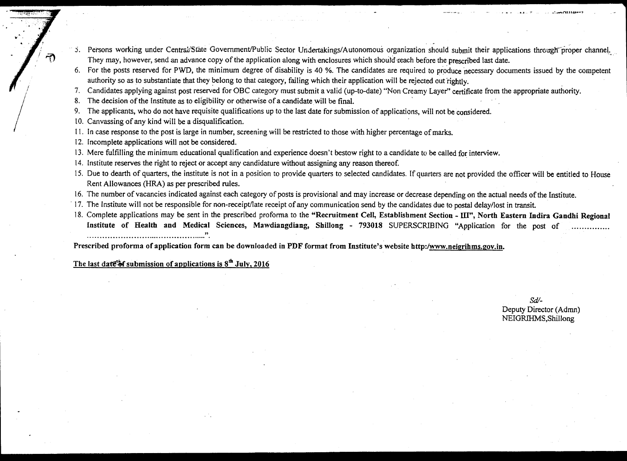- 5. Persons working under Central/State Government/Public Sector Undertakings/Autonomous organization should submit their applications through proper channel. They may, however, send an advance copy of the application along with enclosures which should reach before the prescribed last date.
- 6. For the posts reserved for PWD, the minimum degree of disability is 40 %. The candidates are required to produce necessary documents issued by the competent authority so as to substantiate that they belong to that category, failing which their application will be rejected out rightly.
- 7. Candidates applying against post reserved for OBC category must submit a valid (up-to-date) "Non Creamy Layer" certificate from the appropriate authority.
- 8. The decision of the Institute as to eligibility or otherwise of a candidate will be final.
- 9. The applicants, who do not have requisite qualifications up to the last date for submission of applications, will not be considered.
- 10. Canvassing of any kind will be a disqualification.
- 11. In case response to the post is large in number, screening will be restricted to those with higher percentage of marks.
- 12. Incomplete applications will not be considered.
- 13. Mere fulfilling the minimum educational qualification and experience doesn't bestow right to a candidate to be called for interview.
- 14. Institute reserves the right to reject or accept any candidature without assigning any reason thereof.
- 15. Due to dearth of quarters, the institute is not in a position to provide quarters to selected candidates. If quarters are not provided the officer will be entitled to House Rent Allowances (HRA) as per prescribed rules.
- 16. The number of vacancies indicated against each category of posts is provisional and may increase or decrease depending on the actual needs of the Institute.
- 17. The Institute will not be responsible for non-receipt/late receipt of any communication send by the candidates due to postal delay/lost in transit.
- 18. Complete applications may be sent in the prescribed proforma to the **"Recruitment Cell, Establishment Section III", North Eastern Indira Gandhi Regional Institute of Health and Medical Sciences, Mawdiangdiang, Shillong - 793018** SUPERSCRIBING "Application for the post of

**Prescribed proforma of application form can be downloaded in PDF format from Institute's website http:/www.neigrihms.zoy.in.** 

The last date of submission of applications is  $8<sup>th</sup>$  July, 2016

*Sd/-*  Deputy Director (Admn) NEIGRIHMS,Shillong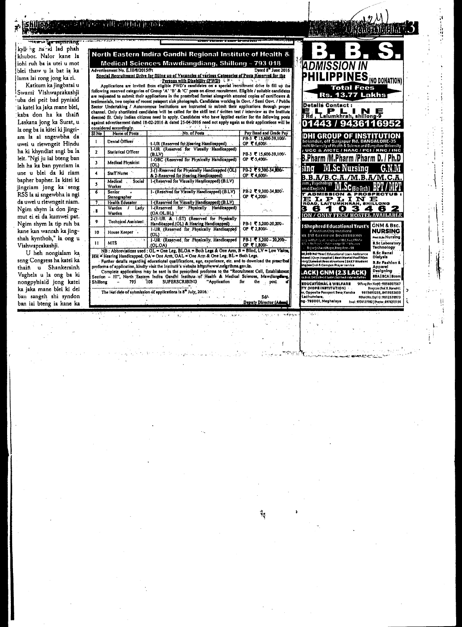

The last date of submission of applications is 8<sup>th</sup> July, 2016.

ban sangeh shi syndon

ban iai bteng ia kane ka

Sd/-

Deputy Director (Ad

وري 1415.02731 (1115.027) (1115.027)<br>15741: 9774127782 | Otrecior : 8974215734

793001, Meghalaya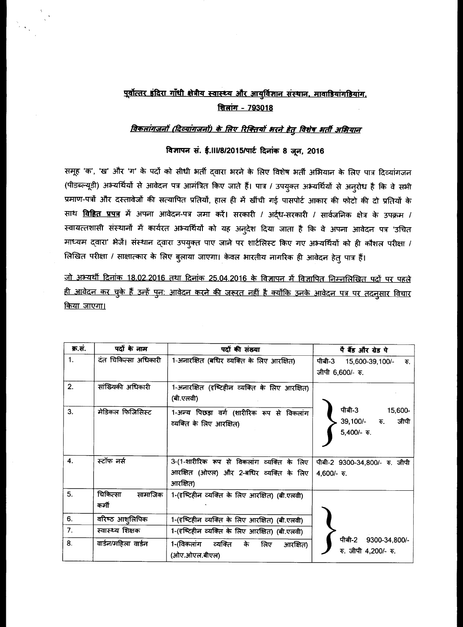# पूर्वोत्तर इंदिरा गाँधी क्षेत्रीय स्वास्थ्य और आयुर्विज्ञान संस्थान, मावाडियांगडियांग, <u>शिलांग - 793018</u>

## विकलांगजनों (दिव्यांगजनों) के लिए रिक्तियों भरने हेतु विशेष भर्ती अभियान

### विज्ञापन सं. ई. ।।।/8/2015/पार्ट दिनांक 8 जून, 2016

समूह 'क', 'ख' और 'ग' के पदों को सीधी भर्ती द्वारा भरने के लिए विशेष भर्ती अभियान के लिए पात्र दिव्यांगजन (पीडब्ल्यूडी) अभ्यर्थियों से आवेदन पत्र आमंत्रित किए जाते हैं। पात्र / उपयुक्त अभ्यर्थियों से अनुरोध है कि वे सभी प्रमाण-पत्रों और दस्तावेजों की सत्यापित प्रतियों, हाल ही में खींची गई पासपोर्ट आकार की फोटो की दो प्रतियों के साथ विहित प्रपत्र में अपना आवेदन-पत्र जमा करें। सरकारी / अर्द्ध-सरकारी / सार्वजनिक क्षेत्र के उपक्रम / स्वायत्तशासी संस्थानों में कार्यरत अभ्यर्थियों को यह अनुदेश दिया जाता है कि वे अपना आवेदन पत्र 'उचित माध्यम द्वारा' भेजें। संस्थान द्वारा उपयुक्त पाए जाने पर शार्टलिस्ट किए गए अभ्यर्थियों को ही कौशल परीक्षा / लिखित परीक्षा / साक्षात्कार के लिए बुलाया जाएगा। केवल भारतीय नागरिक ही आवेदन हेतु पात्र हैं।

जो अभ्यर्थी दिनांक 18.02.2016 तथा दिनांक 25.04.2016 के विज्ञापन में विज्ञापित निम्नलिखित पदों पर पहले <u>ही आवेदन कर चुके हैं उन्हें पुन: आवेदन करने की जरूरत नहीं है क्योंकि उनके आवेदन पत्र पर तदनुसार विचार</u> <u>किया जाएगा।</u>

| क्र.सं.          | पदों के नाम                  | पदों की संख्या                                                                                   | पै बैंड और ग्रेड पे                                               |
|------------------|------------------------------|--------------------------------------------------------------------------------------------------|-------------------------------------------------------------------|
| 1.               | दंत चिकित्सा अधिकारी         | 1-अनारक्षित (बंधिर व्यक्ति के लिए आरक्षित)                                                       | पीबी-3 15,600-39,100/-<br>$\overline{\Phi}$ .<br>जीपी 6,600/- रु. |
| 2.               | सांख्यिकी अधिकारी            | 1-अनारक्षित (दृष्टिहीन व्यक्ति के लिए आरक्षित)<br>(बी.एलवी)                                      |                                                                   |
| 3.               | मेडिकल फिजिसिस्ट             | 1-अन्य पिछड़ा वर्ग (शारीरिक रूप से विकलांग<br>व्यक्ति के लिए आरक्षित)                            | पीबी-3<br>15,600-<br>$39,100/ \bar{x}$ .<br>जीपी<br>5,400/- रु.   |
| $\overline{4}$ . | स्टॉफ नर्स                   | 3-(1-शारीरिक रूप से विकलांग व्यक्ति के लिए<br>आरक्षित (ओएल) और 2-बधिर व्यक्ति के लिए<br>आरक्षित) | पीबी-2 9300-34,800/- रु. जीपी<br>4,600/- $\overline{v}$ .         |
| 5.               | चिकित्सा<br>सामाजिक<br>कर्मी | 1-(दृष्टिहीन व्यक्ति के लिए आरक्षित) (बी.एलवी)                                                   |                                                                   |
| 6.               | वरिष्ठ आश् <i>लिपिक</i>      | 1-(दृष्टिहीन व्यक्ति के लिए आरक्षित) (बी.एलवी)                                                   |                                                                   |
| 7.               | स्वास्थ्य शिक्षक             | 1-(दृष्टिहीन व्यक्ति के लिए आरक्षित) (बी.एलवी)                                                   | ਧੀਕੀ-2                                                            |
| 8.               | वार्डन/महिला वार्डन          | 1-(विकलांग व्यक्ति के लिए<br>आरक्षित)<br>(ओए.ओएल.बीएल)                                           | 9300-34,800/-<br>रु. जीपी 4,200/- रु.                             |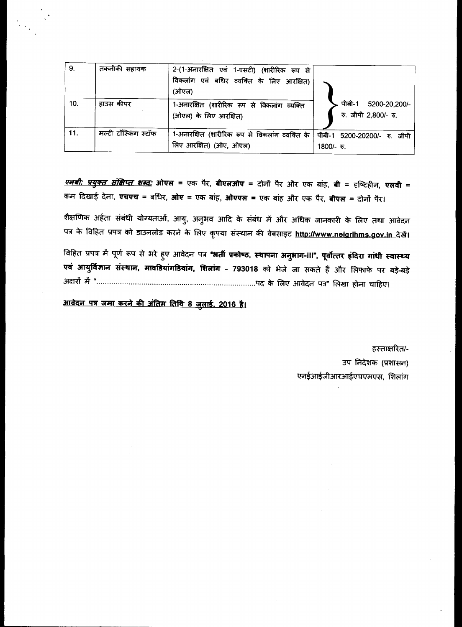| 9.  | तकनीकी सहायक         | 2-(1-अनारक्षित एवं 1-एसटी) (शारीरिक रूप से<br>विकलांग एवं बधिर व्यक्ति के लिए आरक्षित)<br>(ओएल) |                                                 |
|-----|----------------------|-------------------------------------------------------------------------------------------------|-------------------------------------------------|
| 10. | हाउस कीपर            | 1-अनारक्षित (शारीरिक रूप से विकलांग व्यक्ति<br>(ओएल) के लिए आरक्षित)                            | पीबी-1<br>5200-20,200/-<br>रु. जीपी 2,800/- रु. |
| 11. | मल्टी टॉस्किंग स्टॉफ | 1-अनारक्षित (शारीरिक रूप से विकलांग व्यक्ति के  <br>लिए आरक्षित) (ओए, ओएल)                      | पीबी-1 5200-20200/- रु. जीपी<br>1800/- रु.      |

*<u>एनबी: प्रयुक्त संक्षिप्त शब्द:</u>* ओएल = एक पैर, बीएलओए = दोनों पैर और एक बांह, बी = दृष्टिहीन, एलवी = कम दिखाई देना, **एचएच = बधिर, ओए =** एक बांह, **ओएएल =** एक बांह और एक पैर, **बीएल =** दोनों पैर।

शैक्षणिक अर्हता संबंधी योग्यताओं, आयु, अनुभव आदि के संबंध में और अधिक जानकारी के लिए तथा आवेदन पत्र के विहित प्रपत्र को डाउनलोड करने के लिए कृपया संस्थान की वेबसाइट <u>http://www.neigrihms.gov.in दे</u>खें।

विहित प्रपत्र में पूर्ण रूप से भरे हुए आवेदन पत्र **"भर्ती प्रकोष्ठ, स्थापना अनुभाग-III", पूर्वोत्तर इंदिरा गांधी स्वास्थ्य** <mark>एवं आयुर्विज्ञान संस्थान, मावडियांगडियांग, शिलांग - 793018</mark> को भेजे जा सकते हैं और लिफाफे पर बड़े-बड़े अक्षरों में "……………………………………………………………………...पद के लिए आवेदन पत्र" लिखा होना चाहिए।

आवेदन पत्र जमा करने की अंतिम तिथि 8 जुलाई, 2016 है।

हस्ताक्षरित/-उप निदेशक (प्रशासन) एनईआईजीआरआईएचएमएस, शिलांग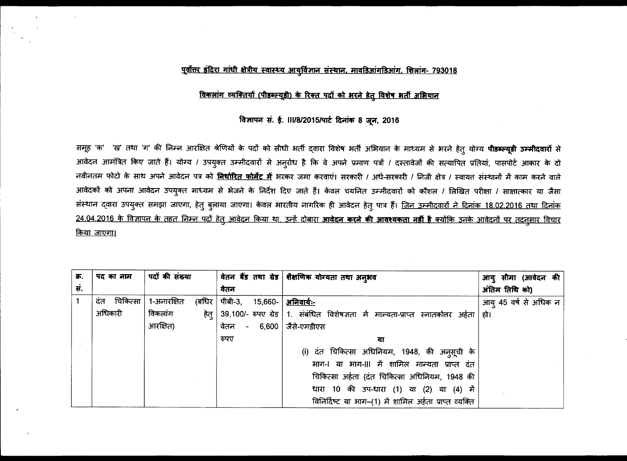### <u>पूर्वोत्तर इंदिरा गांधी क्षेत्रीय स्वास्थ्य आयुर्विज्ञान संस्थान, मावडिआंगडिआंग, शिलांग- 793018</u>

### विकलांग व्यक्तियों (पीडब्ल्यूडी) के रिक्त पदों को भरने हेतु विशेष भर्ती अभियान

### विज्ञापन सं. ई. ।।।/8/2015/पार्ट दिनांक 8 जून, 2016

समूह 'क' 'ख' तथा 'ग' की निम्न आरक्षित श्रेणियों के पदों को सीधी भर्ती दवारा विशेष भर्ती अभियान के माध्यम से भरने हेतु योग्य **पीडब्ल्यूडी उम्मीदवारों** से आवेदन आमंत्रित किए जाते हैं। योग्य / उपयुक्त उम्मीदवारों से अनुरोध है कि वे अपने प्रमाण पत्रों / दस्तावेजों की सत्यापित प्रतियां, पासपोर्ट आकार के दो नवीनतम फोटो के साथ अपने आवेदन पत्र को <mark>निर्धारित फोर्मेट में</mark> भरकर जमा करवाएं। सरकारी / अर्ध-सरकारी / निजी क्षेत्र / स्वायत संस्थानों में काम करने वाले आवेदकों को अपना आवेदन उपयुक्त माध्यम से भेजने के निर्देश दिए जाते हैं। केवल चयनित उम्मीदवारों को कौशल / लिखित परीक्षा / साक्षात्कार या जैसा संस्थान दवारा उपयुक्त समझा जाएगा, हेतु बुलाया जाएगा। केवल भारतीय नागरिक ही आवेदन हेतु पात्र हैं। <u>जिन उम्मीदवारों ने दिनांक 18.02.2016 तथा दिनांक</u> <u>24.04.2016 के विज्ञापन के तहत निम्न पदों हेतु आवेदन किया था, उन्हें दोबारा **आवेदन करने की आवश्यकता नहीं है** क्योंकि उनके आवेदनों पर तदनुसार विचार</u> किया जाएगा।

| क्र. | पद का नाम        | पदों की संख्या        |                              | वेतन बैंड तथा ग्रेड शैक्षणिक योग्यता तथा अनुभव                                                 | आयु सीमा (आवेदन की        |
|------|------------------|-----------------------|------------------------------|------------------------------------------------------------------------------------------------|---------------------------|
| सं.  |                  |                       | वेतन                         |                                                                                                | अंतिम तिथि को)            |
|      | चिकित्सा  <br>दत | 1-अनारक्षित<br>(बधिर) | पीबी-3, 15,660-   अनिवार्यः- |                                                                                                | आयु 45 वर्ष से अधिक न $ $ |
|      | अधिकारी          | विकलांग<br>हेत्       |                              | 39,100/- रुपए ग्रेड   1.  संबंधित  विशेषज्ञता  में  मान्यता-प्राप्त  स्नातकोत्तर  अर्हता   हो। |                           |
|      |                  | आरक्षित)              | वेतन - 6,600   जैसे-एमडीएस   |                                                                                                |                           |
|      |                  |                       | रुपए                         | या                                                                                             |                           |
|      |                  |                       |                              | (i) दंत चिकित्सा अधिनियम, 1948, की अनुसूची के                                                  |                           |
|      |                  |                       |                              | भाग-। या भाग-॥। में शामिल मान्यता प्राप्त दंत                                                  |                           |
|      |                  |                       |                              | चिकित्सा अर्हता (दंत चिकित्सा अधिनियम, 1948 की                                                 |                           |
|      |                  |                       |                              | धारा 10 की उप-धारा (1) या (2) या (4) में                                                       |                           |
|      |                  |                       |                              | विनिर्दिष्ट या भाग-(1) में शामिल अर्हता प्राप्त व्यक्ति                                        |                           |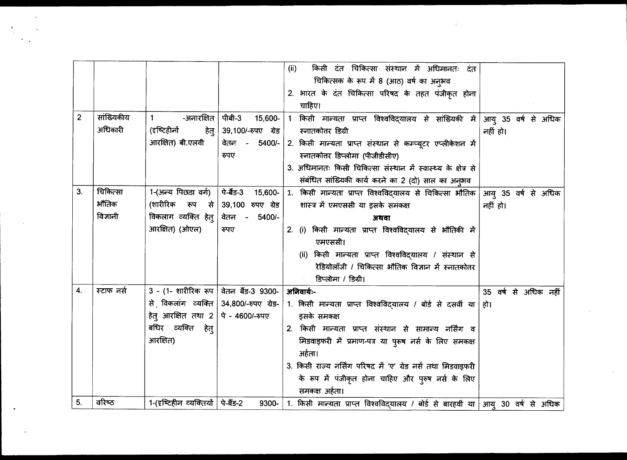|                |            |                                     |                     | किसी दंत चिकित्सा संस्थान में अधिमानतः दंत<br>(ii)                                      |                      |
|----------------|------------|-------------------------------------|---------------------|-----------------------------------------------------------------------------------------|----------------------|
|                |            |                                     |                     | चिकित्सक के रूप में 8 (आठ) वर्ष का अनुभव                                                |                      |
|                |            |                                     |                     | 2. भारत के दंत चिकित्सा परिषद के तहत पंजीकृत होना                                       |                      |
|                |            |                                     |                     | चाहिए।                                                                                  |                      |
| $\overline{c}$ | सांख्यिकीय | -अनारक्षित<br>$\mathbf{1}$          | पीबी-3<br>15,600-   | किसी मान्यता प्राप्त विश्वविद्यालय से सांख्यिकी में आयु 35 वर्ष से अधिक<br>$\mathbf{1}$ |                      |
|                | अधिकारी    | (दृष्टिहीनों<br>हेत्                | 39,100/-रुपए ग्रेड  | स्नातकोत्तर डिग्री                                                                      | नहीं हो।             |
|                |            | आरक्षित) बी.एलवी                    | वेतन - 5400/-       | 2. किसी मान्यता प्राप्त संस्थान से कम्प्यूटर एप्लीकेशन में                              |                      |
|                |            |                                     | रुपए                | स्नातकोत्तर डिप्लोमा (पीजीडीसीए)                                                        |                      |
|                |            |                                     |                     | 3. अधिमानतः किसी चिकित्सा संस्थान में स्वास्थ्य के क्षेत्र से                           |                      |
|                |            |                                     |                     | संबंधित सांख्यिकी कार्य करने का 2 (दो) साल का अनुभव                                     |                      |
| 3.             | चिकित्सा   | 1-(अन्य पिछडा वर्ग)                 | पे-बैंड-3 15,600-   | 1. किसी मान्यता प्राप्त विश्वविद्यालय से चिकित्सा भौतिक आयु 35 वर्ष से अधिक             |                      |
|                | ॵऻतिक      | (शारीरिक रूप से                     | 39,100 रुपए ग्रेड   | शास्त्र में एमएससी या इसके समकक्ष                                                       | नहीं हो।             |
|                | विज्ञानी   | विकलाग व्यक्ति हेत्                 | वेतन - 5400/-       | अथवा                                                                                    |                      |
|                |            | आरक्षित) (ओएल)                      | रुपए                | 2. (i) किसी मान्यता प्राप्त विश्वविद्यालय से भौतिकी में                                 |                      |
|                |            |                                     |                     | एमएससी।                                                                                 |                      |
|                |            |                                     |                     | (ii) किसी मान्यता प्राप्त विश्वविदयालय / संस्थान से                                     |                      |
|                |            |                                     |                     | रेडियोलॉजी / चिकित्सा भौतिक विज्ञान में स्नातकोतर                                       |                      |
|                |            |                                     |                     | डिप्लोमा / डिग्री।                                                                      |                      |
| 4.             | स्टाफ नर्स | $3$ - (1- शारीरिक रूप               | वेतन बैंड-3 9300-   | अनिवार्यः-                                                                              | 35 वर्ष से अधिक नहीं |
|                |            | से विकलांग व्यक्ति                  | 34,800/-रुपए ग्रेड- | 1. किसी मान्यता प्राप्त विश्वविद्यालय / बोर्ड से दसवीं या हो।                           |                      |
|                |            | हेतु आरक्षित तथा 2                  | पे - 4600/-रुपए     | इसके समकक्ष                                                                             |                      |
|                |            | बधिर व्यक्ति हेत्                   |                     | 2. किसी मान्यता प्राप्त संस्थान से सामान्य नर्सिंग व                                    |                      |
|                |            | आरक्षित)                            |                     | मिडवाइफरी में प्रमाण-पत्र या पुरूष नर्स के लिए समकक्ष                                   |                      |
|                |            |                                     |                     | अर्हता।                                                                                 |                      |
|                |            |                                     |                     | 3. किसी राज्य नर्सिंग परिषद में 'ए' ग्रेड नर्स तथा मिडवाइफरी                            |                      |
|                |            |                                     |                     | के रूप में पंजीकृत होना चाहिए और पुरुष नर्स के लिए                                      |                      |
|                |            |                                     |                     | समकक्ष अर्हता।                                                                          |                      |
| 5.             | वरिष्ठ     | 1-(दृष्टिहीन व्यक्तियों   पे-बैंड-2 |                     | 9300- 1. किसी मान्यता प्राप्त विश्वविद्यालय / बोर्ड से बारहवीं या आयु 30 वर्ष से अधिक   |                      |

 $\mathcal{L} \in \mathcal{L}(\mathcal{F})$  .

 $\sim 100$  M  $_{\odot}$ 

 $\label{eq:2} \frac{\partial \mathbf{y}_i}{\partial \mathbf{y}_i} = \frac{\partial \mathbf{y}_i}{\partial \mathbf{y}_i}$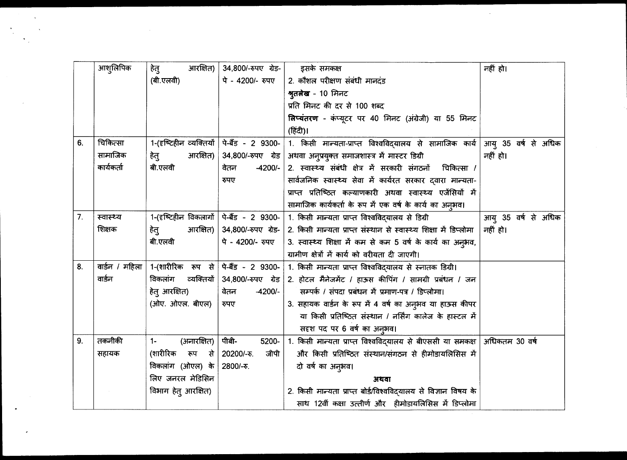|                | आशुलिपिक             | आरक्षित)<br>हेतु                            | 34,800/-रुपए ग्रेड- क्रिसके समकक्ष |                                                                                      | नहीं हो।            |
|----------------|----------------------|---------------------------------------------|------------------------------------|--------------------------------------------------------------------------------------|---------------------|
|                |                      | (बी.एलवी)                                   | पे - 4200/- रुपए                   | 2. कौशल परीक्षण संबंधी मानदंड                                                        |                     |
|                |                      |                                             |                                    | श्रुतलेख - 10 मिनट                                                                   |                     |
|                |                      |                                             |                                    | प्रति मिनट की दर से 100 शब्द                                                         |                     |
|                |                      |                                             |                                    | लिप्यंतरण - कंप्यूटर पर 40 मिनट (अंग्रेजी) या 55 मिनट                                |                     |
|                |                      |                                             |                                    | (हिंदी)।                                                                             |                     |
| 6.             | चिकित्सा             | 1-(दृष्टिहीन व्यक्तियों   पे-बैंड - 2 9300- |                                    | 1. किसी मान्यता-प्राप्त विश्वविद्यालय से सामाजिक कार्य आयु 35 वर्ष से अधिक           |                     |
|                | सामाजिक              | आरक्षित)<br>हेतु                            | 34,800/-रुपए ग्रेड                 | अथवा अनुप्रयुक्त समाजशास्त्र में मास्टर डिग्री                                       | नहीं हो।            |
|                | कार्यकर्ता           | बी.एलवी                                     | $-4200/-$<br>वेतन                  | 2. स्वास्थ्य संबंधी क्षेत्र में सरकारी संगठनों चिकित्सा /                            |                     |
|                |                      |                                             | रुपए                               | सार्वजनिक स्वास्थ्य सेवा में कार्यरत सरकार दवारा मान्यता-                            |                     |
|                |                      |                                             |                                    | प्राप्त प्रतिष्ठित कल्याणकारी अथवा स्वास्थ्य एजेंसियों में                           |                     |
|                |                      |                                             |                                    | सामाजिक कार्यकर्ता के रूप में एक वर्ष के कार्य का अनूभव।                             |                     |
| 7 <sub>1</sub> | स्वास्थ्य            | 1-(दृष्टिहीन विकलागों   पे-बैंड - 2 9300-   |                                    | 1. किसी मान्यता प्राप्त विश्वविद्यालय से डिग्री                                      | आयु 35 वर्ष से अधिक |
|                | शिक्षक               | आरक्षित) $ $<br>हेतु                        |                                    | 34,800/-रुपए ग्रेड- 2. किसी मान्यता प्राप्त संस्थान से स्वास्थ्य शिक्षा में डिप्लोमा | नहीं हो।            |
|                |                      | बी.एलवी                                     | पे - 4200/- रुपए                   | 3. स्वास्थ्य शिक्षा में कम से कम 5 वर्ष के कार्य का अनुभव,                           |                     |
|                |                      |                                             |                                    | ग्रामीण क्षेत्रों में कार्य को वरीयता दी जाएगी।                                      |                     |
| 8.             | वाईन / महिला $\vert$ | 1-(शारीरिक रूप से   पे-बैंड - 2 9300-       |                                    | 1. किसी मान्यता प्राप्त विश्वविद्यालय से स्नातक डिग्री।                              |                     |
|                | वाईन                 | व्यक्तियों  <br>विकलांग                     |                                    | $34,800$ /-रुपए ग्रेड 2. होटल मैनेजमेंट / हाऊस कीपिंग / सामग्री प्रबंधन / जन         |                     |
|                |                      | हेतु आरक्षित)                               | $-4200/-$<br>वेतन                  | सम्पर्क / संपदा प्रबंधन में प्रमाण-पत्र / डिप्लोमा।                                  |                     |
|                |                      | (ओए. ओएल. बीएल)                             | रुपए                               | 3. सहायक वाईन के रूप में 4 वर्ष का अनुभव या हाऊस कीपर                                |                     |
|                |                      |                                             |                                    | या किसी प्रतिष्ठित संस्थान / नर्सिंग कालेज के हास्टल में                             |                     |
|                |                      |                                             |                                    | सदृश पद पर 6 वर्ष का अनुभव।                                                          |                     |
| 9.             | तकनीकी               | (अनारक्षित)<br>$1 -$                        | पीबी-<br>5200-                     | 1. किसी मान्यता प्राप्त विश्वविद्यालय से बीएससी या समकक्ष  अधिकतम 30 वर्ष            |                     |
|                | सहायक                | (शारीरिक रूप से $ $                         | 20200/-रु.<br>जीपी                 | और किसी प्रतिष्ठित संस्थान/संगठन से हीमोडायलिसिस में                                 |                     |
|                |                      | विकलांग (ओएल) के                            | 2800/-रु.                          | दो वर्ष का अनुभव।                                                                    |                     |
|                |                      | लिए जनरल मेडिसिन                            |                                    | अथवा                                                                                 |                     |
|                |                      | विभाग हेतु आरक्षित)                         |                                    | 2. किसी मान्यता प्राप्त बोर्ड/विश्वविद्यालय से विज्ञान विषय के                       |                     |
|                |                      |                                             |                                    | साथ 12वीं कक्षा उत्तीर्ण और हीमोडायलिसिस में डिप्लोमा                                |                     |

 $\mathcal{A}^{\pm}$ 

 $\bullet$ 

 $\sim 10^{-10}$ 

 $\sim 10^{-1}$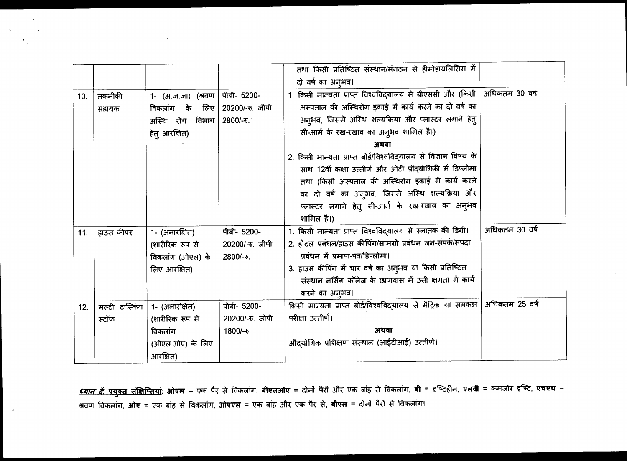|     |                |                    |                 | तथा किसी प्रतिष्ठित संस्थान/संगठन से हीमोडायलिसिस में                          |                |
|-----|----------------|--------------------|-----------------|--------------------------------------------------------------------------------|----------------|
|     |                |                    |                 | दो वर्ष का अनुभव।                                                              |                |
| 10. | तकनीकी         | 1- (अ.ज.जा) (श्रवण | पीबी- 5200-     | 1. किसी मान्यता प्राप्त विश्वविद्यालय से बीएससी और (किसी   अधिकतम 30 वर्ष      |                |
|     | सहायक          | विकलांग के लिए     | 20200/-रु. जीपी | अस्पताल की अस्थिरोग इकाई में कार्य करने का दो वर्ष का                          |                |
|     |                | अस्थि रोग विभाग    | 2800/-रु.       | अनुभव, जिसमें अस्थि शल्यक्रिया और प्लास्टर लगाने हेतु                          |                |
|     |                | हेतु आरक्षित)      |                 | सी-आर्म के रख-रखाव का अनुभव शामिल है।)                                         |                |
|     |                |                    |                 | अथवा                                                                           |                |
|     |                |                    |                 | 2. किसी मान्यता प्राप्त बोर्ड/विश्वविद्यालय से विज्ञान विषय के                 |                |
|     |                |                    |                 | साथ 12वीं कक्षा उत्तीर्ण और ओटी प्रौद्योगिकी में डिप्लोमा                      |                |
|     |                |                    |                 | तथा (किसी अस्पताल की अस्थिरोग इकाई में कार्य करने                              |                |
|     |                |                    |                 | का दो वर्ष का अनुभव, जिसमें अस्थि शल्यक्रिया और                                |                |
|     |                |                    |                 | प्लास्टर लगाने हेतु सी-आर्म के रख-रखाव का अनुभव                                |                |
|     |                |                    |                 | शामिल है।)                                                                     |                |
| 11. | हाउस कीपर      | 1- (अनारक्षित)     | पीबी- 5200-     | 1. किसी मान्यता प्राप्त विश्वविद्यालय से स्नातक की डिग्री।                     | अधिकतम 30 वर्ष |
|     |                | (शारीरिक रूप से    | 20200/-रु. जीपी | 2. होटल प्रबंधन/हाउस कीपिंग/सामग्री प्रबंधन जन-संपर्क/संपदा                    |                |
|     |                | विकलांग (ओएल) के   | 2800/-रु.       | प्रबंधन में प्रमाण-पत्र/डिप्लोमा।                                              |                |
|     |                | लिए आरक्षित)       |                 | 3. हाउस कीपिंग में चार वर्ष का अनुभव या किसी प्रतिष्ठित                        |                |
|     |                |                    |                 | संस्थान नर्सिंग कॉलेज के छात्रावास में उसी क्षमता में कार्य                    |                |
|     |                |                    |                 | करने का अन्औव।                                                                 |                |
| 12. | मल्टी टास्किंग | 1- (अनारक्षित)     | पीबी- 5200-     | किसी मान्यता प्राप्त बोर्ड/विश्वविद्यालय से मैट्रिक या समकक्ष   अधिकतम 25 वर्ष |                |
|     | स्टॉफ          | (शारीरिक रूप से    | 20200/-रु. जीपी | परीक्षा उत्तीर्ण।                                                              |                |
|     |                | विकलांग            | 1800/-रु.       | अथवा                                                                           |                |
|     |                | (ओएल.ओए) के लिए    |                 | औदयोगिक प्रशिक्षण संस्थान (आईटीआई) उत्तीर्ण।                                   |                |
|     |                | आरक्षित)           |                 |                                                                                |                |

 $\mathcal{F}_{\mathcal{G}}$ 

<u>ध्यान दें प्रयुक्त संक्षिप्तियां</u>: ओएल = एक पैर से विकलांग, **बीएलओए** = दोनों पैरों और एक बांह से विकलांग, **बी =** हष्टिहीन, एलवी = कमजोर दृष्टि, एचएच = श्रवण विकलांग, **ओए** = एक बांह से विकलांग, **ओएएल** = एक बांह और एक पैर से, **बीएल** = दोनों पैरों से विकलांग।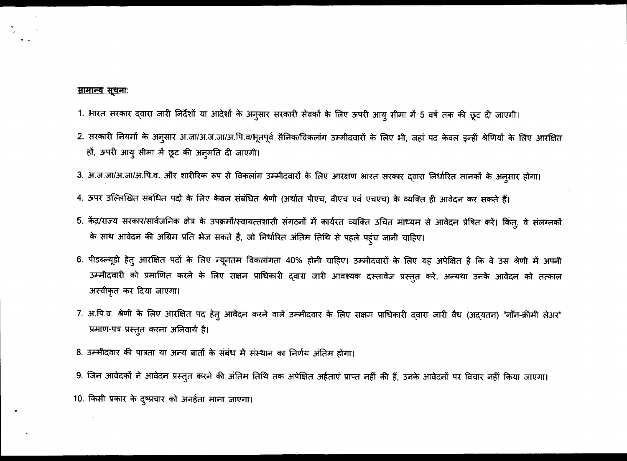### <u>सामान्य सूचनाः</u>

- 1. भारत सरकार दवारा जारी निर्देशों या आदेशों के अनुसार सरकारी सेवकों के लिए ऊपरी आयु सीमा में 5 वर्ष तक की छूट दी जाएगी।
- 2. सरकारी नियमों के अनुसार अ.जा/अ.ज.जा/अ.पि.व/भूतपूर्व सैनिक/विकलांग उम्मीदवारों के लिए भी, जहां पद केवल इन्हीं श्रेणियों के लिए आरक्षित हों, ऊपरी आयू सीमा में छूट की अनुमति दी जाएगी।
- 3. अ.ज.जा/अ.जा/अ.पि.व. और शारीरिक रूप से विकलांग उम्मीदवारों के लिए आरक्षण भारत सरकार दवारा निर्धारित मानकों के अनुसार होगा।
- 4. ऊपर उल्लिखित संबंधित पदों के लिए केवल संबंधित श्रेणी (अर्थात पीएच, वीएच एवं एचएच) के व्यक्ति ही आवेदन कर सकते हैं।
- 5. केंद्र/राज्य सरकार/सार्वजनिक क्षेत्र के उपक्रमों/स्वायत्तशासी संगठनों में कार्यरत व्यक्ति उचित माध्यम से आवेदन प्रेषित करें। किंतु, वे संलग्नकों के साथ आवेदन की अग्रिम प्रति भेज सकते हैं, जो निर्धारित अंतिम तिथि से पहले पहंच जानी चाहिए।
- 6. पीडब्ल्यूडी हेतु आरक्षित पदों के लिए न्यूनतम विकलांगता 40% होनी चाहिए। उम्मीदवारों के लिए यह अपेक्षित है कि वे उस श्रेणी में अपनी उम्मीदवारी को प्रमाणित करने के लिए सक्षम प्राधिकारी द्वारा जारी आवश्यक दस्तावेज प्रस्तुत करें, अन्यथा उनके आवेदन को तत्काल अस्वीकृत कर दिया जाएगा।
- 7. अ.पि.व. श्रेणी के लिए आरक्षित पद हेत् आवेदन करने वाले उम्मीदवार के लिए सक्षम प्राधिकारी दवारा जारी वैध (अदयतन) "नॉन-क्रीमी लेअर" प्रमाण-पत्र प्रस्तुत करना अनिवार्य है।
- 8. उम्मीदवार की पात्रता या अन्य बातों के संबंध में संस्थान का निर्णय अंतिम होगा।
- 9. जिन आवेदकों ने आवेदन प्रस्तुत करने की अंतिम तिथि तक अपेक्षित अर्हताएं प्राप्त नहीं की हैं, उनके आवेदनों पर विचार नहीं किया जाएगा।

10. किसी प्रकार के दुष्प्रचार को अनर्हता माना जाएगा।